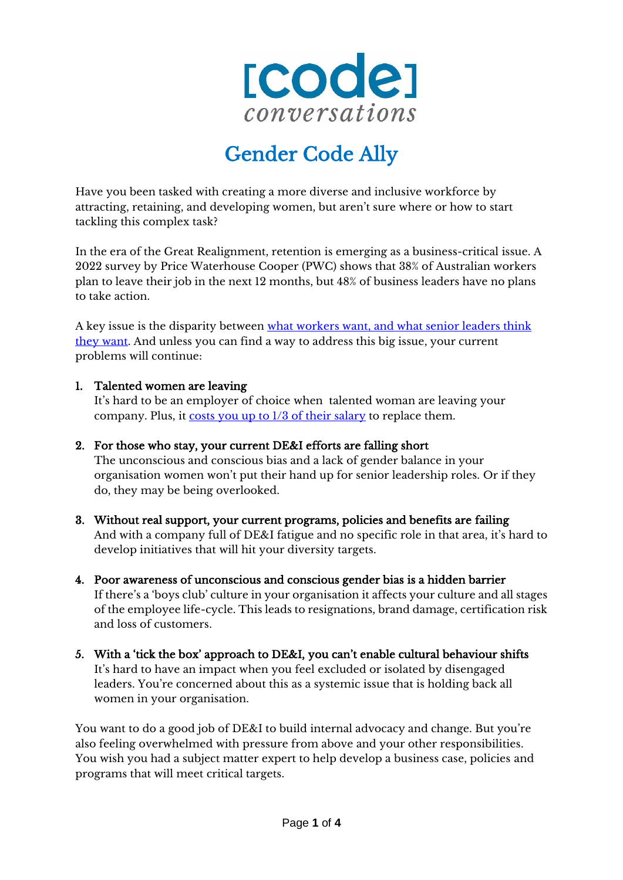

# Gender Code Ally

Have you been tasked with creating a more diverse and inclusive workforce by attracting, retaining, and developing women, but aren't sure where or how to start tackling this complex task?

In the era of the Great Realignment, retention is emerging as a business-critical issue. A 2022 survey by Price Waterhouse Cooper (PWC) shows that 38% of Australian workers plan to leave their job in the next 12 months, but 48% of business leaders have no plans to take action.

A key issue is the disparity between [what workers want, and what senior leaders think](https://www.pwc.com.au/important-problems/future-of-work/what-workers-want-report.pdf)  [they want.](https://www.pwc.com.au/important-problems/future-of-work/what-workers-want-report.pdf) And unless you can find a way to address this big issue, your current problems will continue:

#### 1. Talented women are leaving

It's hard to be an employer of choice when talented woman are leaving your company. Plus, it [costs you up to 1/3 of their salary](https://cdrta.com.au/2019/11/13/the-real-cost-of-employee-turnover/) to replace them.

#### 2. For those who stay, your current DE&I efforts are falling short

The unconscious and conscious bias and a lack of gender balance in your organisation women won't put their hand up for senior leadership roles. Or if they do, they may be being overlooked.

- 3. Without real support, your current programs, policies and benefits are failing And with a company full of DE&I fatigue and no specific role in that area, it's hard to develop initiatives that will hit your diversity targets.
- 4. Poor awareness of unconscious and conscious gender bias is a hidden barrier If there's a 'boys club' culture in your organisation it affects your culture and all stages of the employee life-cycle. This leads to resignations, brand damage, certification risk and loss of customers.
- 5. With a 'tick the box' approach to DE&I, you can't enable cultural behaviour shifts It's hard to have an impact when you feel excluded or isolated by disengaged leaders. You're concerned about this as a systemic issue that is holding back all women in your organisation.

You want to do a good job of DE&I to build internal advocacy and change. But you're also feeling overwhelmed with pressure from above and your other responsibilities. You wish you had a subject matter expert to help develop a business case, policies and programs that will meet critical targets.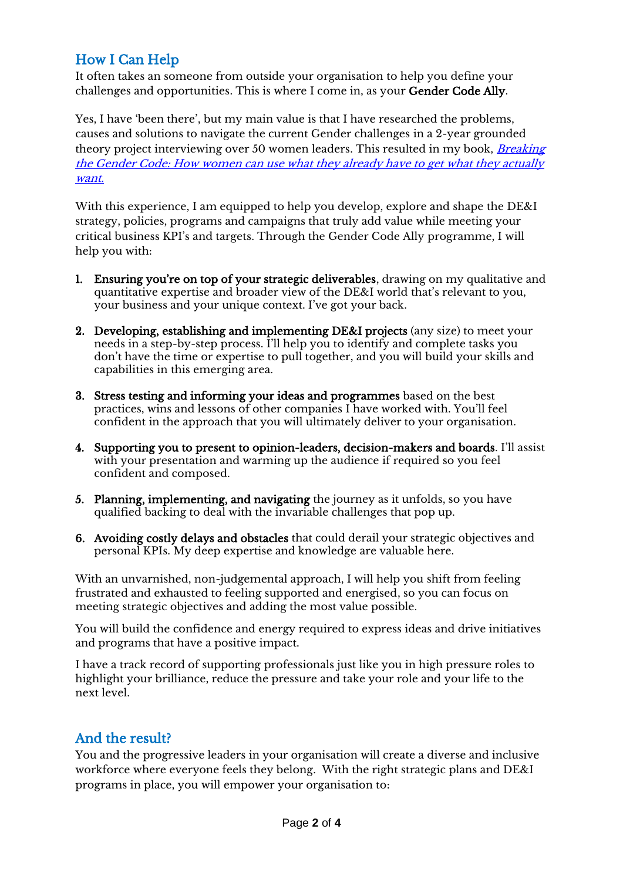# How I Can Help

It often takes an someone from outside your organisation to help you define your challenges and opportunities. This is where I come in, as your Gender Code Ally.

Yes, I have 'been there', but my main value is that I have researched the problems, causes and solutions to navigate the current Gender challenges in a 2-year grounded theory project interviewing over 50 women leaders. This resulted in my book, *Breaking* [the Gender Code: How women can use what they already have to get what they actually](https://www.codeconversations.com.au/breaking-the-gender-code/)  [want.](https://www.codeconversations.com.au/breaking-the-gender-code/)

With this experience, I am equipped to help you develop, explore and shape the DE&I strategy, policies, programs and campaigns that truly add value while meeting your critical business KPI's and targets. Through the Gender Code Ally programme, I will help you with:

- 1. Ensuring you're on top of your strategic deliverables, drawing on my qualitative and quantitative expertise and broader view of the DE&I world that's relevant to you, your business and your unique context. I've got your back.
- 2. Developing, establishing and implementing DE&I projects (any size) to meet your needs in a step-by-step process. I'll help you to identify and complete tasks you don't have the time or expertise to pull together, and you will build your skills and capabilities in this emerging area.
- 3. Stress testing and informing your ideas and programmes based on the best practices, wins and lessons of other companies I have worked with. You'll feel confident in the approach that you will ultimately deliver to your organisation.
- 4. Supporting you to present to opinion-leaders, decision-makers and boards. I'll assist with your presentation and warming up the audience if required so you feel confident and composed.
- 5. Planning, implementing, and navigating the journey as it unfolds, so you have qualified backing to deal with the invariable challenges that pop up.
- 6. Avoiding costly delays and obstacles that could derail your strategic objectives and personal KPIs. My deep expertise and knowledge are valuable here.

With an unvarnished, non-judgemental approach, I will help you shift from feeling frustrated and exhausted to feeling supported and energised, so you can focus on meeting strategic objectives and adding the most value possible.

You will build the confidence and energy required to express ideas and drive initiatives and programs that have a positive impact.

I have a track record of supporting professionals just like you in high pressure roles to highlight your brilliance, reduce the pressure and take your role and your life to the next level.

## And the result?

You and the progressive leaders in your organisation will create a diverse and inclusive workforce where everyone feels they belong. With the right strategic plans and DE&I programs in place, you will empower your organisation to: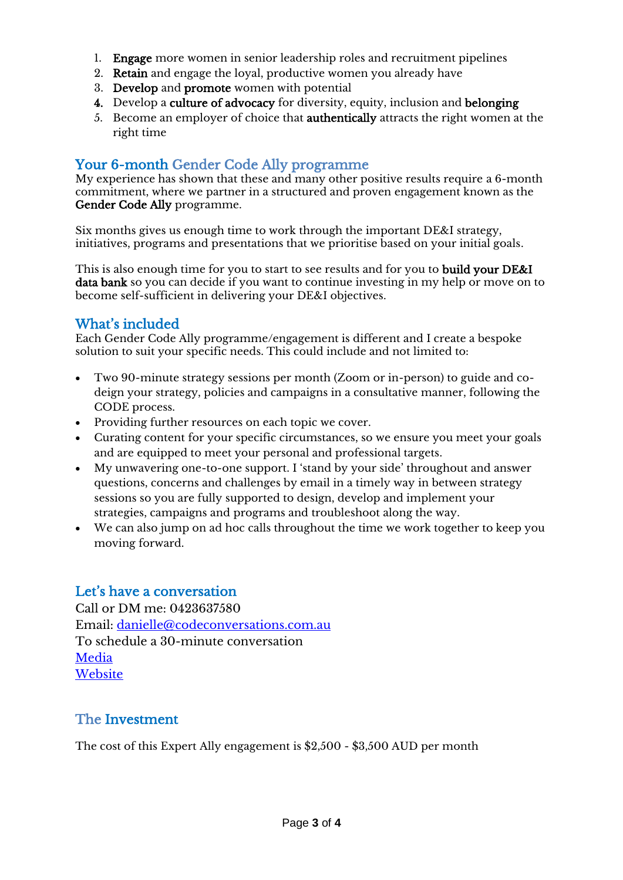- 1. Engage more women in senior leadership roles and recruitment pipelines
- 2. Retain and engage the loyal, productive women you already have
- 3. Develop and promote women with potential
- 4. Develop a culture of advocacy for diversity, equity, inclusion and belonging
- 5. Become an employer of choice that authentically attracts the right women at the right time

#### Your 6-month Gender Code Ally programme

My experience has shown that these and many other positive results require a 6-month commitment, where we partner in a structured and proven engagement known as the Gender Code Ally programme.

Six months gives us enough time to work through the important DE&I strategy, initiatives, programs and presentations that we prioritise based on your initial goals.

This is also enough time for you to start to see results and for you to **build your DE&I** data bank so you can decide if you want to continue investing in my help or move on to become self-sufficient in delivering your DE&I objectives.

## What's included

Each Gender Code Ally programme/engagement is different and I create a bespoke solution to suit your specific needs. This could include and not limited to:

- Two 90-minute strategy sessions per month (Zoom or in-person) to guide and codeign your strategy, policies and campaigns in a consultative manner, following the CODE process.
- Providing further resources on each topic we cover.
- Curating content for your specific circumstances, so we ensure you meet your goals and are equipped to meet your personal and professional targets.
- My unwavering one-to-one support. I 'stand by your side' throughout and answer questions, concerns and challenges by email in a timely way in between strategy sessions so you are fully supported to design, develop and implement your strategies, campaigns and programs and troubleshoot along the way.
- We can also jump on ad hoc calls throughout the time we work together to keep you moving forward.

#### Let's have a conversation

Call or DM me: 0423637580 Email: [danielle@codeconversations.com.au](mailto:danielle@codeconversations.com.au) To schedule a 30-minute conversation [Media](https://www.codeconversations.com.au/media/) **[Website](https://www.codeconversations.com.au/)** 

#### The Investment

The cost of this Expert Ally engagement is \$2,500 - \$3,500 AUD per month